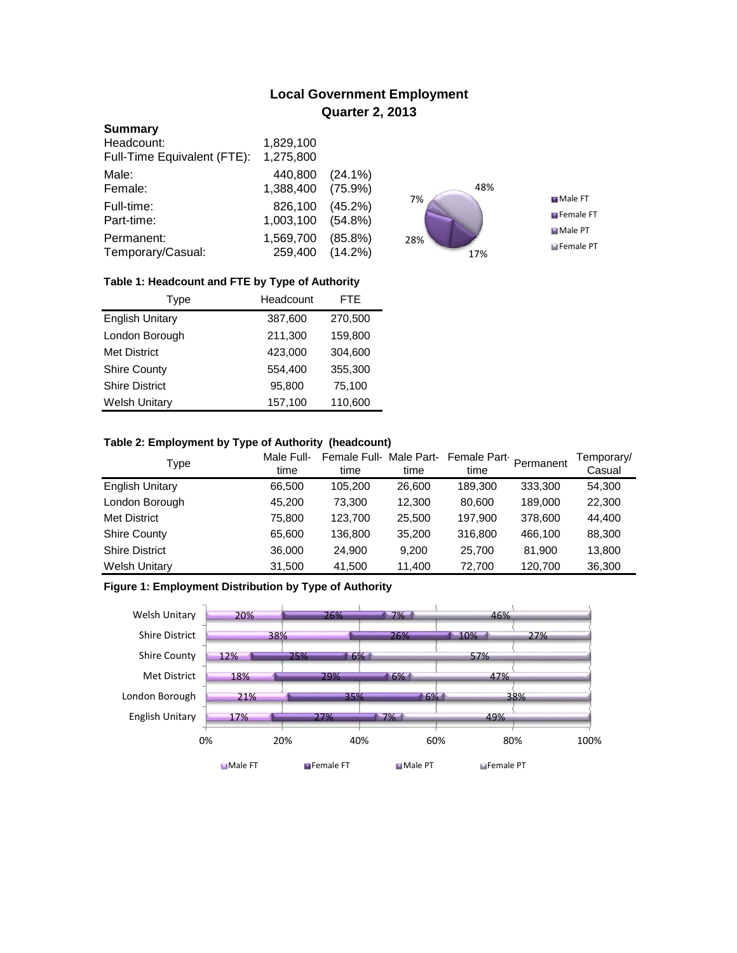# **Local Government Employment Quarter 2, 2013**

### **Summary**

| Headcount:                  | 1,829,100 |            |
|-----------------------------|-----------|------------|
| Full-Time Equivalent (FTE): | 1,275,800 |            |
| Male:                       | 440,800   | $(24.1\%)$ |
| Female:                     | 1,388,400 | $(75.9\%)$ |
| Full-time:                  | 826,100   | (45.2%)    |
| Part-time:                  | 1,003,100 | $(54.8\%)$ |
| Permanent:                  | 1,569,700 | $(85.8\%)$ |
| Temporary/Casual:           | 259,400   | $(14.2\%)$ |



## **Table 1: Headcount and FTE by Type of Authority**

| <b>Type</b>            | Headcount | <b>FTE</b> |  |
|------------------------|-----------|------------|--|
| <b>English Unitary</b> | 387,600   | 270,500    |  |
| London Borough         | 211,300   | 159,800    |  |
| Met District           | 423,000   | 304,600    |  |
| <b>Shire County</b>    | 554,400   | 355,300    |  |
| <b>Shire District</b>  | 95,800    | 75,100     |  |
| <b>Welsh Unitary</b>   | 157,100   | 110,600    |  |

### **Table 2: Employment by Type of Authority (headcount)**

| Type                   | Male Full-<br>time | Female Full-Male Part-<br>time | time   | Female Part-<br>time | Permanent | Temporary/<br>Casual |
|------------------------|--------------------|--------------------------------|--------|----------------------|-----------|----------------------|
| <b>English Unitary</b> | 66,500             | 105,200                        | 26,600 | 189,300              | 333,300   | 54,300               |
| London Borough         | 45,200             | 73.300                         | 12,300 | 80,600               | 189,000   | 22,300               |
| <b>Met District</b>    | 75,800             | 123.700                        | 25,500 | 197,900              | 378,600   | 44,400               |
| <b>Shire County</b>    | 65,600             | 136,800                        | 35,200 | 316,800              | 466.100   | 88,300               |
| <b>Shire District</b>  | 36,000             | 24.900                         | 9.200  | 25,700               | 81.900    | 13,800               |
| <b>Welsh Unitary</b>   | 31,500             | 41,500                         | 11,400 | 72,700               | 120,700   | 36,300               |

## **Figure 1: Employment Distribution by Type of Authority**